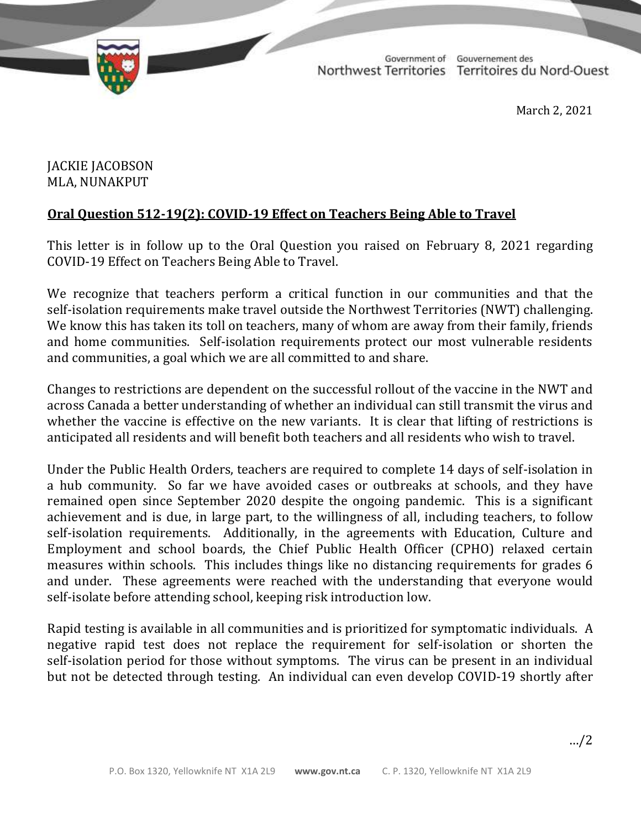

TD 337-19(2) TABLED ON MARCH 3, 2021

Government of Gouvernement des Northwest Territories Territoires du Nord-Ouest

March 2, 2021

## JACKIE JACOBSON MLA, NUNAKPUT

## **Oral Question 512-19(2): COVID-19 Effect on Teachers Being Able to Travel**

This letter is in follow up to the Oral Question you raised on February 8, 2021 regarding COVID-19 Effect on Teachers Being Able to Travel.

We recognize that teachers perform a critical function in our communities and that the self-isolation requirements make travel outside the Northwest Territories (NWT) challenging. We know this has taken its toll on teachers, many of whom are away from their family, friends and home communities. Self-isolation requirements protect our most vulnerable residents and communities, a goal which we are all committed to and share.

Changes to restrictions are dependent on the successful rollout of the vaccine in the NWT and across Canada a better understanding of whether an individual can still transmit the virus and whether the vaccine is effective on the new variants. It is clear that lifting of restrictions is anticipated all residents and will benefit both teachers and all residents who wish to travel.

Under the Public Health Orders, teachers are required to complete 14 days of self-isolation in a hub community. So far we have avoided cases or outbreaks at schools, and they have remained open since September 2020 despite the ongoing pandemic. This is a significant achievement and is due, in large part, to the willingness of all, including teachers, to follow self-isolation requirements. Additionally, in the agreements with Education, Culture and Employment and school boards, the Chief Public Health Officer (CPHO) relaxed certain measures within schools. This includes things like no distancing requirements for grades 6 and under. These agreements were reached with the understanding that everyone would self-isolate before attending school, keeping risk introduction low.

Rapid testing is available in all communities and is prioritized for symptomatic individuals. A negative rapid test does not replace the requirement for self-isolation or shorten the self-isolation period for those without symptoms. The virus can be present in an individual but not be detected through testing. An individual can even develop COVID-19 shortly after